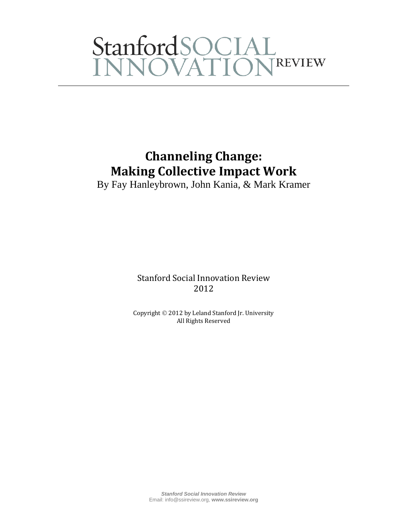# StanfordSOCIAL<br>INNOVATIONREVIEW

### **Channeling Change: Making Collective Impact Work**

By Fay Hanleybrown, John Kania, & Mark Kramer

Stanford Social Innovation Review 2012

Copyright 2012 by Leland Stanford Jr. University All Rights Reserved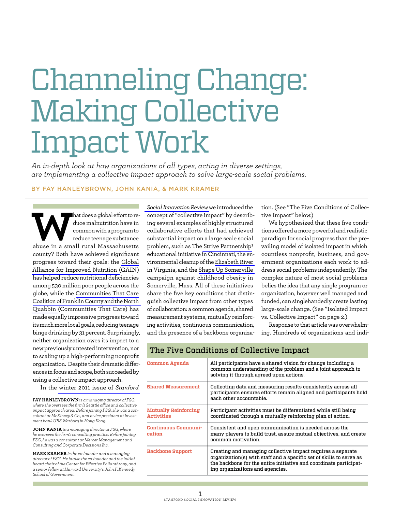## Channeling Change: Making Collective Impact Work

*An in-depth look at how organizations of all types, acting in diverse settings, are implementing a collective impact approach to solve large-scale social problems.*

#### By Fay Hanleybrown, John Kania, & Mark Kramer

**What does a global effort to reduce malnutrition have in** common with a program to reduce teenage substance abuse in a small rural Massachusetts duce malnutrition have in common with a program to reduce teenage substance county? Both have achieved significant progress toward their goals: the [Global](http://www.gainhealth.org/)  [Alliance for Improved Nutrition \(](http://www.gainhealth.org/)GAIN) has helped reduce nutritional deficiencies among 530 million poor people across the globe, while the [Communities That Care](http://www.communitiesthatcarecoalition.org/)  [Coalition of Franklin County and the North](http://www.communitiesthatcarecoalition.org/)  [Quabbin \(](http://www.communitiesthatcarecoalition.org/)Communities That Care) has made equally impressive progress toward its much more local goals, reducing teenage binge drinking by 31 percent. Surprisingly, neither organization owes its impact to a new previously untested intervention, nor to scaling up a high-performing nonprofit organization. Despite their dramatic differences in focus and scope, both succeeded by using a collective impact approach.

In the [winter 2011 issue of](http://www.ssireview.org/articles/entry/collective_impact) *Stanford* 

**Fay Hanleybrown** *is a managing director of FSG, where she oversees the firm's Seattle office and collective impact approach area. Before joining FSG, she was a consultant at McKinsey & Co., and a vice president at investment bank UBS Warburg in Hong Kong.* 

**John Kania** *is a managing director at FSG, where he oversees the firm's consulting practice. Before joining FSG, he was a consultant at Mercer Management and Consulting and Corporate Decisions Inc.* 

**Mark Kramer** *is the co-founder and a managing director of FSG. He is also the co-founder and the initial board chair of the Center for Effective Philanthropy, and a senior fellow at Harvard University's John F. Kennedy School of Government.* 

*[Social Innovation Review](http://www.ssireview.org/articles/entry/collective_impact)*we introduced the concept of "collective impact" by describing several examples of highly structured collaborative efforts that had achieved substantial impact on a large scale social problem, such as The [Strive Partnership](http://www.strivetogether.org/)**<sup>1</sup>** educational initiative in Cincinnati, the environmental cleanup of the [Elizabeth River](http://www.elizabethriver.org/)  in Virginia, and the [Shape Up Somerville](http://www.somervillema.gov/departments/health/sus)  campaign against childhood obesity in Somerville, Mass. All of these initiatives share the five key conditions that distinguish collective impact from other types of collaboration: a common agenda, shared measurement systems, mutually reinforcing activities, continuous communication, and the presence of a backbone organization. (See "The Five Conditions of Collective Impact" below.)

We hypothesized that these five conditions offered a more powerful and realistic paradigm for social progress than the prevailing model of isolated impact in which countless nonprofit, business, and government organizations each work to address social problems independently. The complex nature of most social problems belies the idea that any single program or organization, however well managed and funded, can singlehandedly create lasting large-scale change. (See "Isolated Impact vs. Collective Impact" on page 2.)

Response to that article was overwhelming. Hundreds of organizations and indi-

| Common Agenda                        | All participants have a shared vision for change including a<br>common understanding of the problem and a joint approach to<br>solving it through agreed upon actions.                                                                     |
|--------------------------------------|--------------------------------------------------------------------------------------------------------------------------------------------------------------------------------------------------------------------------------------------|
| <b>Shared Measurement</b>            | Collecting data and measuring results consistently across all<br>participants ensures efforts remain aligned and participants hold<br>each other accountable.                                                                              |
| Mutually Reinforcing<br>Activities   | Participant activities must be differentiated while still being<br>coordinated through a mutually reinforcing plan of action.                                                                                                              |
| <b>Continuous Communi-</b><br>cation | Consistent and open communication is needed across the<br>many players to build trust, assure mutual objectives, and create<br>common motivation.                                                                                          |
| <b>Backbone Support</b>              | Creating and managing collective impact requires a separate<br>organization(s) with staff and a specific set of skills to serve as<br>the backbone for the entire initiative and coordinate participat-<br>ing organizations and agencies. |

The Five Conditions of Collective Impact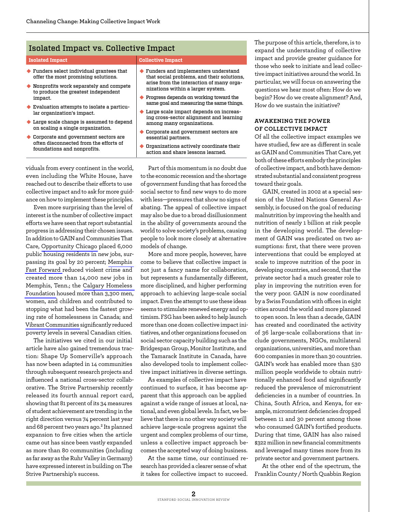#### Isolated Impact vs. Collective Impact

#### **Isolated Impact Collective Impact**

- $\blacklozenge$  Funders select individual grantees that offer the most promising solutions.
- $\blacklozenge$  Nonprofits work separately and compete to produce the greatest independent impact.
- $\blacklozenge$  Evaluation attempts to isolate a particular organization's impact.
- $\blacklozenge$  Large scale change is assumed to depend on scaling a single organization.
- $\triangle$  Corporate and government sectors are often disconnected from the efforts of foundations and nonprofits.

 $\blacklozenge$  Funders and implementers understand that social problems, and their solutions, arise from the interaction of many organizations within a larger system.

- $\blacklozenge$  Progress depends on working toward the same goal and measuring the same things.
- $\blacklozenge$  Large scale impact depends on increasing cross-sector alignment and learning among many organizations.
- $\blacklozenge$  Corporate and government sectors are essential partners.
- $\blacklozenge$  Organizations actively coordinate their action and share lessons learned.

viduals from every continent in the world, even including the White House, have reached out to describe their efforts to use collective impact and to ask for more guidance on how to implement these principles.

Even more surprising than the level of interest is the number of collective impact efforts we have seen that report substantial progress in addressing their chosen issues. In addition to GAIN and Communities That Care, [Opportunity Chicago](http://www.opportunitychicago.org/) placed 6,000 public housing residents in new jobs, surpassing its goal by 20 percent; [Memphis](http://memphisfastforward.com/)  [Fast Forward](http://memphisfastforward.com/) reduced violent crime and created more than 14,000 new jobs in Memphis, Tenn.; the [Calgary Homeless](http://calgaryhomeless.com/)  [Foundation](http://calgaryhomeless.com/) housed more than 3,300 men, women, and children and contributed to stopping what had been the fastest growing rate of homelessness in Canada; and [Vibrant Communities s](http://www.vibrantcommunities.ca/)ignificantly reduced poverty levels in several Canadian cities.

The initiatives we cited in our initial article have also gained tremendous traction: Shape Up Somerville's approach has now been adapted in 14 communities through subsequent research projects and influenced a national cross-sector collaborative. The Strive Partnership recently released its fourth annual report card, showing that 81 percent of its 34 measures of student achievement are trending in the right direction versus 74 percent last year and 68 percent two years ago.**<sup>2</sup>** Its planned expansion to five cities when the article came out has since been vastly expanded as more than 80 communities (including as far away as the Ruhr Valley in Germany) have expressed interest in building on The Strive Partnership's success.

Part of this momentum is no doubt due to the economic recession and the shortage of government funding that has forced the social sector to find new ways to do more with less—pressures that show no signs of abating. The appeal of collective impact may also be due to a broad disillusionment in the ability of governments around the world to solve society's problems, causing people to look more closely at alternative models of change.

More and more people, however, have come to believe that collective impact is not just a fancy name for collaboration, but represents a fundamentally different, more disciplined, and higher performing approach to achieving large-scale social impact. Even the attempt to use these ideas seems to stimulate renewed energy and optimism. FSG has been asked to help launch more than one dozen collective impact initiatives, and other organizations focused on social sector capacity building such as the Bridgespan Group, Monitor Institute, and the Tamarack Institute in Canada, have also developed tools to implement collective impact initiatives in diverse settings.

As examples of collective impact have continued to surface, it has become apparent that this approach can be applied against a wide range of issues at local, national, and even global levels. In fact, we believe that there is no other way society will achieve large-scale progress against the urgent and complex problems of our time, unless a collective impact approach becomes the accepted way of doing business.

At the same time, our continued research has provided a clearer sense of what it takes for collective impact to succeed. The purpose of this article, therefore, is to expand the understanding of collective impact and provide greater guidance for those who seek to initiate and lead collective impact initiatives around the world. In particular, we will focus on answering the questions we hear most often: How do we begin? How do we create alignment? And, How do we sustain the initiative?

#### **Awakening the Power of Collective Impact**

Of all the collective impact examples we have studied, few are as different in scale as GAIN and Communities That Care, yet both of these efforts embody the principles of collective impact, and both have demonstrated substantial and consistent progress toward their goals.

GAIN, created in 2002 at a special session of the United Nations General Assembly, is focused on the goal of reducing malnutrition by improving the health and nutrition of nearly 1 billion at risk people in the developing world. The development of GAIN was predicated on two assumptions: first, that there were proven interventions that could be employed at scale to improve nutrition of the poor in developing countries, and second, that the private sector had a much greater role to play in improving the nutrition even for the very poor. GAIN is now coordinated by a Swiss Foundation with offices in eight cities around the world and more planned to open soon. In less than a decade, GAIN has created and coordinated the activity of 36 large-scale collaborations that include governments, NGOs, multilateral organizations, universities, and more than 600 companies in more than 30 countries. GAIN's work has enabled more than 530 million people worldwide to obtain nutritionally enhanced food and significantly reduced the prevalence of micronutrient deficiencies in a number of countries. In China, South Africa, and Kenya, for example, micronutrient deficiencies dropped between 11 and 30 percent among those who consumed GAIN's fortified products. During that time, GAIN has also raised \$322 million in new financial commitments and leveraged many times more from its private sector and government partners.

At the other end of the spectrum, the Franklin County / North Quabbin Region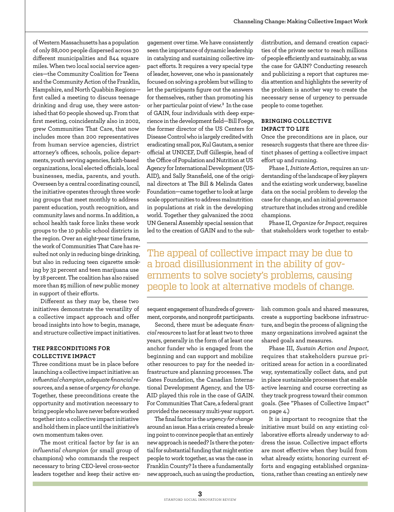of Western Massachusetts has a population of only 88,000 people dispersed across 30 different municipalities and 844 square miles. When two local social service agencies—the Community Coalition for Teens and the Community Action of the Franklin, Hampshire, and North Quabbin Regions first called a meeting to discuss teenage drinking and drug use, they were astonished that 60 people showed up. From that first meeting, coincidentally also in 2002, grew Communities That Care, that now includes more than 200 representatives from human service agencies, district attorney's offices, schools, police departments, youth serving agencies, faith-based organizations, local elected officials, local businesses, media, parents, and youth. Overseen by a central coordinating council, the initiative operates through three working groups that meet monthly to address parent education, youth recognition, and community laws and norms. In addition, a school health task force links these work groups to the 10 public school districts in the region. Over an eight-year time frame, the work of Communities That Care has resulted not only in reducing binge drinking, but also in reducing teen cigarette smoking by 32 percent and teen marijuana use by 18 percent. The coalition has also raised more than \$5 million of new public money in support of their efforts.

Different as they may be, these two initiatives demonstrate the versatility of a collective impact approach and offer broad insights into how to begin, manage, and structure collective impact initiatives.

#### **The Preconditions for Collective Impact**

Three conditions must be in place before launching a collective impact initiative: an *influential champion*, *adequate financial resources*, and a sense of *urgency for change*. Together, these preconditions create the opportunity and motivation necessary to bring people who have never before worked together into a collective impact initiative and hold them in place until the initiative's own momentum takes over.

The most critical factor by far is an *influential champion* (or small group of champions) who commands the respect necessary to bring CEO-level cross-sector leaders together and keep their active en-

gagement over time. We have consistently seen the importance of dynamic leadership in catalyzing and sustaining collective impact efforts. It requires a very special type of leader, however, one who is passionately focused on solving a problem but willing to let the participants figure out the answers for themselves, rather than promoting his or her particular point of view.**<sup>3</sup>** In the case of GAIN, four individuals with deep experience in the development field—Bill Foege, the former director of the US Centers for Disease Control who is largely credited with eradicating small pox, Kul Gautam, a senior official at UNICEF, Duff Gillespie, head of the Office of Population and Nutrition at US Agency for International Development (US-AID), and Sally Stansfield, one of the original directors at The Bill & Melinda Gates Foundation—came together to look at large scale opportunities to address malnutrition in populations at risk in the developing world. Together they galvanized the 2002 UN General Assembly special session that led to the creation of GAIN and to the subdistribution, and demand creation capacities of the private sector to reach millions of people efficiently and sustainably, as was the case for GAIN? Conducting research and publicizing a report that captures media attention and highlights the severity of the problem is another way to create the necessary sense of urgency to persuade people to come together.

#### **Bringing Collective Impact to Life**

Once the preconditions are in place, our research suggests that there are three distinct phases of getting a collective impact effort up and running.

Phase I, *Initiate Action*, requires an understanding of the landscape of key players and the existing work underway, baseline data on the social problem to develop the case for change, and an initial governance structure that includes strong and credible champions.

Phase II, *Organize for Impact*, requires that stakeholders work together to estab-

The appeal of collective impact may be due to a broad disillusionment in the ability of governments to solve society's problems, causing people to look at alternative models of change.

sequent engagement of hundreds of government, corporate, and nonprofit participants.

Second, there must be adequate *financial resources* to last for at least two to three years, generally in the form of at least one anchor funder who is engaged from the beginning and can support and mobilize other resources to pay for the needed infrastructure and planning processes. The Gates Foundation, the Canadian International Development Agency, and the US-AID played this role in the case of GAIN. For Communities That Care, a federal grant provided the necessary multi-year support.

The final factor is the *urgency for change* around an issue. Has a crisis created a breaking point to convince people that an entirely new approach is needed? Is there the potential for substantial funding that might entice people to work together, as was the case in Franklin County? Is there a fundamentally new approach, such as using the production, lish common goals and shared measures, create a supporting backbone infrastructure, and begin the process of aligning the many organizations involved against the shared goals and measures.

Phase III, *Sustain Action and Impact*, requires that stakeholders pursue prioritized areas for action in a coordinated way, systematically collect data, and put in place sustainable processes that enable active learning and course correcting as they track progress toward their common goals. (See "Phases of Collective Impact" on page 4.)

It is important to recognize that the initiative must build on any existing collaborative efforts already underway to address the issue. Collective impact efforts are most effective when they build from what already exists; honoring current efforts and engaging established organizations, rather than creating an entirely new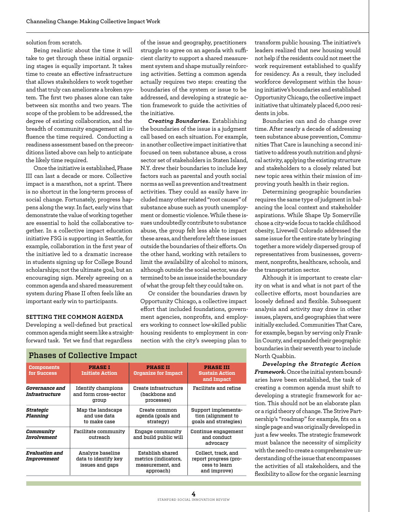#### solution from scratch.

Being realistic about the time it will take to get through these initial organizing stages is equally important. It takes time to create an effective infrastructure that allows stakeholders to work together and that truly can ameliorate a broken system. The first two phases alone can take between six months and two years. The scope of the problem to be addressed, the degree of existing collaboration, and the breadth of community engagement all influence the time required. Conducting a readiness assessment based on the preconditions listed above can help to anticipate the likely time required.

Once the initiative is established, Phase III can last a decade or more. Collective impact is a marathon, not a sprint. There is no shortcut in the long-term process of social change. Fortunately, progress happens along the way. In fact, early wins that demonstrate the value of working together are essential to hold the collaborative together. In a collective impact education initiative FSG is supporting in Seattle, for example, collaboration in the first year of the initiative led to a dramatic increase in students signing up for College Bound scholarships; not the ultimate goal, but an encouraging sign. Merely agreeing on a common agenda and shared measurement system during Phase II often feels like an important early win to participants.

#### **Setting the Common Agenda**

Phases of Collective Impact

Developing a well-defined but practical common agenda might seem like a straightforward task. Yet we find that regardless

of the issue and geography, practitioners struggle to agree on an agenda with sufficient clarity to support a shared measurement system and shape mutually reinforcing activities. Setting a common agenda actually requires two steps: creating the boundaries of the system or issue to be addressed, and developing a strategic action framework to guide the activities of the initiative.

*Creating Boundaries.* Establishing the boundaries of the issue is a judgment call based on each situation. For example, in another collective impact initiative that focused on teen substance abuse, a cross sector set of stakeholders in Staten Island, N.Y. drew their boundaries to include key factors such as parental and youth social norms as well as prevention and treatment activities. They could as easily have included many other related "root causes" of substance abuse such as youth unemployment or domestic violence. While these issues undoubtedly contribute to substance abuse, the group felt less able to impact these areas, and therefore left these issues outside the boundaries of their efforts. On the other hand, working with retailers to limit the availability of alcohol to minors, although outside the social sector, was determined to be an issue inside the boundary of what the group felt they could take on.

Or consider the boundaries drawn by Opportunity Chicago, a collective impact effort that included foundations, government agencies, nonprofits, and employers working to connect low-skilled public housing residents to employment in connection with the city's sweeping plan to

| Liidses ol poliečitve liiipaci                 |                                                             |                                                                           |                                                                               |  |  |  |
|------------------------------------------------|-------------------------------------------------------------|---------------------------------------------------------------------------|-------------------------------------------------------------------------------|--|--|--|
| <b>Components</b><br>for Success               | <b>PHASE I</b><br><b>Initiate Action</b>                    | <b>PHASE II</b><br><b>Organize for Impact</b>                             | <b>PHASE III</b><br><b>Sustain Action</b><br>and Impact                       |  |  |  |
| <i><b>Governance and</b></i><br>Infrastructure | <b>Identify champions</b><br>and form cross-sector<br>group | Create infrastructure<br>(backbone and<br>processes)                      | Facilitate and refine                                                         |  |  |  |
| Strategic<br>Planning                          | Map the landscape<br>and use data<br>to make case           | Create common<br>agenda (goals and<br>strategy)                           | Support implementa-<br>tion (alignment to<br>goals and strategies)            |  |  |  |
| Community<br>Involvement                       | <b>Facilitate community</b><br>outreach                     | Engage community<br>and build public will                                 | Continue engagement<br>and conduct<br>advocacy                                |  |  |  |
| <b>Evaluation and</b><br>Improvement           | Analyze baseline<br>data to identify key<br>issues and gaps | Establish shared<br>metrics (indicators,<br>measurement, and<br>approach) | Collect, track, and<br>report progress (pro-<br>cess to learn<br>and improve) |  |  |  |

transform public housing. The initiative's leaders realized that new housing would not help if the residents could not meet the work requirement established to qualify for residency. As a result, they included workforce development within the housing initiative's boundaries and established Opportunity Chicago, the collective impact initiative that ultimately placed 6,000 residents in jobs.

Boundaries can and do change over time. After nearly a decade of addressing teen substance abuse prevention, Communities That Care is launching a second initiative to address youth nutrition and physical activity, applying the existing structure and stakeholders to a closely related but new topic area within their mission of improving youth health in their region.

Determining geographic boundaries requires the same type of judgment in balancing the local context and stakeholder aspirations. While Shape Up Somerville chose a city-wide focus to tackle childhood obesity, Livewell Colorado addressed the same issue for the entire state by bringing together a more widely dispersed group of representatives from businesses, government, nonprofits, healthcare, schools, and the transportation sector.

Although it is important to create clarity on what is and what is not part of the collective efforts, most boundaries are loosely defined and flexible. Subsequent analysis and activity may draw in other issues, players, and geographies that were initially excluded. Communities That Care, for example, began by serving only Franklin County, and expanded their geographic boundaries in their seventh year to include North Quabbin.

*Developing the Strategic Action Framework.* Once the initial system boundaries have been established, the task of creating a common agenda must shift to developing a strategic framework for action. This should not be an elaborate plan or a rigid theory of change. The Strive Partnership's "roadmap" for example, fits on a single page and was originally developed in just a few weeks. The strategic framework must balance the necessity of simplicity with the need to create a comprehensive understanding of the issue that encompasses the activities of all stakeholders, and the flexibility to allow for the organic learning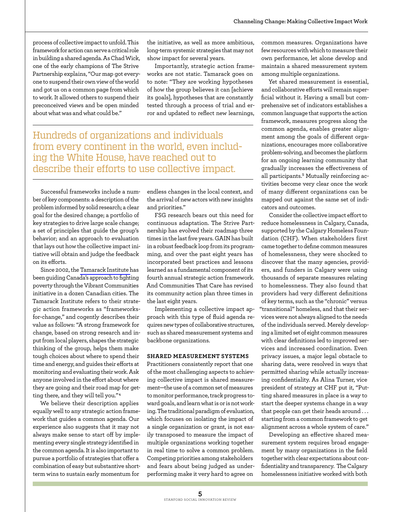process of collective impact to unfold. This framework for action can serve a critical role in building a shared agenda. As Chad Wick, one of the early champions of The Strive Partnership explains, "Our map got everyone to suspend their own view of the world and got us on a common page from which to work. It allowed others to suspend their preconceived views and be open minded about what was and what could be."

the initiative, as well as more ambitious, long-term systemic strategies that may not show impact for several years.

Importantly, strategic action frameworks are not static. Tamarack goes on to note: "They are working hypotheses of how the group believes it can [achieve its goals], hypotheses that are constantly tested through a process of trial and error and updated to reflect new learnings,

Hundreds of organizations and individuals from every continent in the world, even including the White House, have reached out to describe their efforts to use collective impact.

Successful frameworks include a number of key components: a description of the problem informed by solid research; a clear goal for the desired change; a portfolio of key strategies to drive large scale change; a set of principles that guide the group's behavior; and an approach to evaluation that lays out how the collective impact initiative will obtain and judge the feedback on its efforts.

Since 2002, the [Tamarack Institute h](http://tamarackcommunity.ca/)as been guiding Canada's approach to fighting poverty through the Vibrant Communities initiative in a dozen Canadian cities. The Tamarack Institute refers to their strategic action frameworks as "frameworksfor-change," and cogently describes their value as follows: "A strong framework for change, based on strong research and input from local players, shapes the strategic thinking of the group, helps them make tough choices about where to spend their time and energy, and guides their efforts at monitoring and evaluating their work. Ask anyone involved in the effort about where they are going and their road map for getting there, and they will tell you." **<sup>4</sup>**

We believe their description applies equally well to any strategic action framework that guides a common agenda. Our experience also suggests that it may not always make sense to start off by implementing every single strategy identified in the common agenda. It is also important to pursue a portfolio of strategies that offer a combination of easy but substantive shortterm wins to sustain early momentum for

endless changes in the local context, and the arrival of new actors with new insights and priorities."

FSG research bears out this need for continuous adaptation. The Strive Partnership has evolved their roadmap three times in the last five years. GAIN has built in a robust feedback loop from its programming, and over the past eight years has incorporated best practices and lessons learned as a fundamental component of its fourth annual strategic action framework. And Communities That Care has revised its community action plan three times in the last eight years.

Implementing a collective impact approach with this type of fluid agenda requires new types of collaborative structures, such as shared measurement systems and backbone organizations.

#### **Shared Measurement Systems**

Practitioners consistently report that one of the most challenging aspects to achieving collective impact is shared measurement—the use of a common set of measures to monitor performance, track progress toward goals, and learn what is or is not working. The traditional paradigm of evaluation, which focuses on isolating the impact of a single organization or grant, is not easily transposed to measure the impact of multiple organizations working together in real time to solve a common problem. Competing priorities among stakeholders and fears about being judged as underperforming make it very hard to agree on

common measures. Organizations have few resources with which to measure their own performance, let alone develop and maintain a shared measurement system among multiple organizations.

Yet shared measurement is essential, and collaborative efforts will remain superficial without it. Having a small but comprehensive set of indicators establishes a common language that supports the action framework, measures progress along the common agenda, enables greater alignment among the goals of different organizations, encourages more collaborative problem-solving, and becomes the platform for an ongoing learning community that gradually increases the effectiveness of all participants.**<sup>5</sup>** Mutually reinforcing activities become very clear once the work of many different organizations can be mapped out against the same set of indicators and outcomes.

Consider the collective impact effort to reduce homelessness in Calgary, Canada, supported by the Calgary Homeless Foundation (CHF). When stakeholders first came together to define common measures of homelessness, they were shocked to discover that the many agencies, providers, and funders in Calgary were using thousands of separate measures relating to homelessness. They also found that providers had very different definitions of key terms, such as the "chronic" versus "transitional" homeless, and that their services were not always aligned to the needs of the individuals served. Merely developing a limited set of eight common measures with clear definitions led to improved services and increased coordination. Even privacy issues, a major legal obstacle to sharing data, were resolved in ways that permitted sharing while actually increasing confidentiality. As Alina Turner, vice president of strategy at CHF put it, "Putting shared measures in place is a way to start the deeper systems change in a way that people can get their heads around . . . starting from a common framework to get alignment across a whole system of care."

Developing an effective shared measurement system requires broad engagement by many organizations in the field together with clear expectations about confidentiality and transparency. The Calgary homelessness initiative worked with both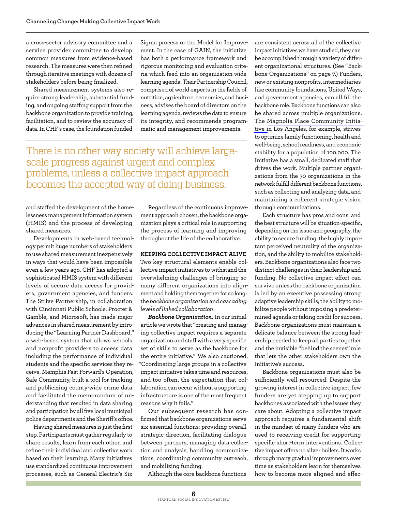a cross-sector advisory committee and a service provider committee to develop common measures from evidence-based research. The measures were then refined through iterative meetings with dozens of stakeholders before being finalized.

Shared measurement systems also require strong leadership, substantial funding, and ongoing staffing support from the backbone organization to provide training, facilitation, and to review the accuracy of data. In CHF's case, the foundation funded

Sigma process or the Model for Improvement. In the case of GAIN, the initiative has both a performance framework and rigorous monitoring and evaluation criteria which feed into an organization-wide learning agenda. Their Partnership Council, comprised of world experts in the fields of nutrition, agriculture, economics, and business, advises the board of directors on the learning agenda, reviews the data to ensure its integrity, and recommends programmatic and management improvements.

There is no other way society will achieve largescale progress against urgent and complex problems, unless a collective impact approach becomes the accepted way of doing business.

and staffed the development of the homelessness management information system (HMIS) and the process of developing shared measures.

Developments in web-based technology permit huge numbers of stakeholders to use shared measurement inexpensively in ways that would have been impossible even a few years ago. CHF has adopted a sophisticated HMIS system with different levels of secure data access for providers, government agencies, and funders. The Strive Partnership, in collaboration with Cincinnati Public Schools, Procter & Gamble, and Microsoft, has made major advances in shared measurement by introducing the "Learning Partner Dashboard," a web-based system that allows schools and nonprofit providers to access data including the performance of individual students and the specific services they receive. Memphis Fast Forward's Operation, Safe Community, built a tool for tracking and publicizing county-wide crime data and facilitated the memorandum of understanding that resulted in data sharing and participation by all five local municipal police departments and the Sheriff's office.

Having shared measures is just the first step. Participants must gather regularly to share results, learn from each other, and refine their individual and collective work based on their learning. Many initiatives use standardized continuous improvement processes, such as General Electric's Six

Regardless of the continuous improvement approach chosen, the backbone organization plays a critical role in supporting the process of learning and improving throughout the life of the collaborative.

#### **Keeping Collective Impact Alive**

Two key structural elements enable collective impact initiatives to withstand the overwhelming challenges of bringing so many different organizations into alignment and holding them together for so long: the *backbone organization* and *cascading levels of linked collaboration*.

*Backbone Organization.* In our initial article we wrote that "creating and managing collective impact requires a separate organization and staff with a very specific set of skills to serve as the backbone for the entire initiative." We also cautioned, "Coordinating large groups in a collective impact initiative takes time and resources, and too often, the expectation that collaboration can occur without a supporting infrastructure is one of the most frequent reasons why it fails."

Our subsequent research has confirmed that backbone organizations serve six essential functions: providing overall strategic direction, facilitating dialogue between partners, managing data collection and analysis, handling communications, coordinating community outreach, and mobilizing funding.

Although the core backbone functions

are consistent across all of the collective impact initiatives we have studied, they can be accomplished through a variety of different organizational structures. (See "Backbone Organizations" on page 7.) Funders, new or existing nonprofits, intermediaries like community foundations, United Ways, and government agencies, can all fill the backbone role. Backbone functions can also be shared across multiple organizations. The [Magnolia Place Community Initia](http://www.all4kids.org/magnolia-place-community-initiative.html)[tive i](http://www.all4kids.org/magnolia-place-community-initiative.html)n Los Angeles, for example, strives to optimize family functioning, health and well-being, school readiness, and economic stability for a population of 100,000. The Initiative has a small, dedicated staff that drives the work. Multiple partner organizations from the 70 organizations in the network fulfill different backbone functions, such as collecting and analyzing data, and maintaining a coherent strategic vision through communications.

Each structure has pros and cons, and the best structure will be situation-specific, depending on the issue and geography, the ability to secure funding, the highly important perceived neutrality of the organization, and the ability to mobilize stakeholders. Backbone organizations also face two distinct challenges in their leadership and funding. No collective impact effort can survive unless the backbone organization is led by an executive possessing strong adaptive leadership skills; the ability to mobilize people without imposing a predetermined agenda or taking credit for success. Backbone organizations must maintain a delicate balance between the strong leadership needed to keep all parties together and the invisible "behind the scenes" role that lets the other stakeholders own the initiative's success.

Backbone organizations must also be sufficiently well resourced. Despite the growing interest in collective impact, few funders are yet stepping up to support backbones associated with the issues they care about. Adopting a collective impact approach requires a fundamental shift in the mindset of many funders who are used to receiving credit for supporting specific short-term interventions. Collective impact offers no silver bullets. It works through many gradual improvements over time as stakeholders learn for themselves how to become more aligned and effec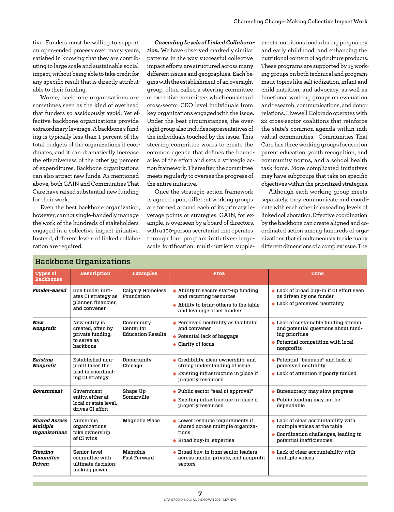tive. Funders must be willing to support an open-ended process over many years, satisfied in knowing that they are contributing to large scale and sustainable social impact, without being able to take credit for any specific result that is directly attributable to their funding.

Worse, backbone organizations are sometimes seen as the kind of overhead that funders so assiduously avoid. Yet effective backbone organizations provide extraordinary leverage. A backbone's funding is typically less than 1 percent of the total budgets of the organizations it coordinates, and it can dramatically increase the effectiveness of the other 99 percent of expenditures. Backbone organizations can also attract new funds. As mentioned above, both GAIN and Communities That Care have raised substantial new funding for their work.

Even the best backbone organization, however, cannot single-handedly manage the work of the hundreds of stakeholders engaged in a collective impact initiative. Instead, different levels of linked collaboration are required.

*Cascading Levels of Linked Collaboration.* We have observed markedly similar patterns in the way successful collective impact efforts are structured across many different issues and geographies. Each begins with the establishment of an oversight group, often called a steering committee or executive committee, which consists of cross-sector CEO level individuals from key organizations engaged with the issue. Under the best circumstances, the oversight group also includes representatives of the individuals touched by the issue. This steering committee works to create the common agenda that defines the boundaries of the effort and sets a strategic action framework. Thereafter, the committee meets regularly to oversee the progress of the entire initiative.

Once the strategic action framework is agreed upon, different working groups are formed around each of its primary leverage points or strategies. GAIN, for example, is overseen by a board of directors, with a 100-person secretariat that operates through four program initiatives: largescale fortification, multi-nutrient supplements, nutritious foods during pregnancy and early childhood, and enhancing the nutritional content of agriculture products. These programs are supported by 15 working groups on both technical and programmatic topics like salt iodization, infant and child nutrition, and advocacy, as well as functional working groups on evaluation and research, communications, and donor relations. Livewell Colorado operates with 22 cross-sector coalitions that reinforce the state's common agenda within individual communities. Communities That Care has three working groups focused on parent education, youth recognition, and community norms, and a school health task force. More complicated initiatives may have subgroups that take on specific objectives within the prioritized strategies.

Although each working group meets separately, they communicate and coordinate with each other in cascading levels of linked collaboration. Effective coordination by the backbone can create aligned and coordinated action among hundreds of organizations that simultaneously tackle many different dimensions of a complex issue. The

| baonbone organizationo                            |                                                                                   |                                                     |                                                                                                                                                             |                                                                                                                                                                     |  |  |  |
|---------------------------------------------------|-----------------------------------------------------------------------------------|-----------------------------------------------------|-------------------------------------------------------------------------------------------------------------------------------------------------------------|---------------------------------------------------------------------------------------------------------------------------------------------------------------------|--|--|--|
| <b>Types of</b><br><b>Backbones</b>               | <b>Description</b>                                                                | <b>Examples</b>                                     | Pros                                                                                                                                                        | <b>Cons</b>                                                                                                                                                         |  |  |  |
| <b>Funder-Based</b>                               | One funder initi-<br>ates CI strategy as<br>planner, financier,<br>and convener   | <b>Calgary Homeless</b><br>Foundation               | $\triangle$ Ability to secure start-up funding<br>and recurring resources<br>$\triangle$ Ability to bring others to the table<br>and leverage other funders | Lack of broad buy-in if CI effort seen<br>as driven by one funder<br>$\bullet$ Lack of perceived neutrality                                                         |  |  |  |
| New<br>Nonprofit                                  | New entity is<br>created, often by<br>private funding,<br>to serve as<br>backbone | Community<br>Center for<br><b>Education Results</b> | $\blacklozenge$ Perceived neutrality as facilitator<br>and convener<br>$\blacklozenge$ Potential lack of baggage<br>$\triangle$ Clarity of focus            | $\triangle$ Lack of sustainable funding stream<br>and potential questions about fund-<br>ing priorities<br>$\bullet$ Potential competition with local<br>nonprofits |  |  |  |
| Existing<br>Nonprofit                             | Established non-<br>profit takes the<br>lead in coordinat-<br>ing CI strategy     | Opportunity<br>Chicago                              | $\bullet$ Credibility, clear ownership, and<br>strong understanding of issue<br>$\triangle$ Existing infrastructure in place if<br>properly resourced       | ◆ Potential "baggage" and lack of<br>perceived neutrality<br>$\bullet$ Lack of attention if poorly funded                                                           |  |  |  |
| Government                                        | Government<br>entity, either at<br>local or state level.<br>drives CI effort      | Shape Up<br>Somerville                              | ◆ Public sector "seal of approval"<br>$\triangle$ Existing infrastructure in place if<br>properly resourced                                                 | $\triangle$ Bureaucracy may slow progress<br>$\blacklozenge$ Public funding may not be<br>dependable                                                                |  |  |  |
| <b>Shared Across</b><br>Multiple<br>Organizations | Numerous<br>organizations<br>take ownership<br>of CI wins                         | Magnolia Place                                      | $\blacklozenge$ Lower resource requirements if<br>shared across multiple organiza-<br>tions<br>♦ Broad buy-in, expertise                                    | $\bullet$ Lack of clear accountability with<br>multiple voices at the table<br>$\bullet$ Coordination challenges, leading to<br>potential inefficiencies            |  |  |  |
| Steering<br>Committee<br>Driven                   | Senior-level<br>committee with<br>ultimate decision-<br>making power              | Memphis<br><b>Fast Forward</b>                      | ♦ Broad buy-in from senior leaders<br>across public, private, and nonprofit<br>sectors                                                                      | $\bullet$ Lack of clear accountability with<br>multiple voices                                                                                                      |  |  |  |

#### Backbone Organizations